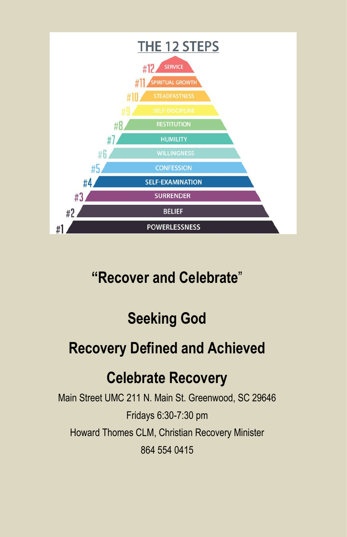

# **"Recover and Celebrate**"

# **Seeking God**

# **Recovery Defined and Achieved**

# **Celebrate Recovery**

Main Street UMC 211 N. Main St. Greenwood, SC 29646 Fridays 6:30-7:30 pm Howard Thomes CLM, Christian Recovery Minister 864 554 0415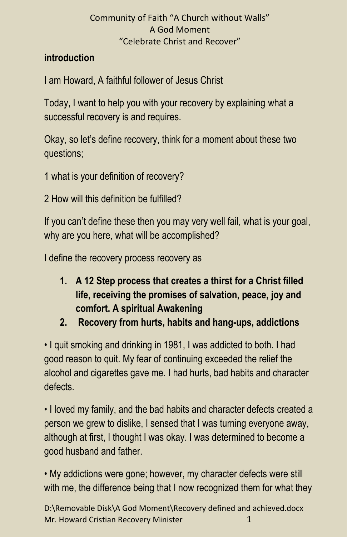## **introduction**

I am Howard, A faithful follower of Jesus Christ

Today, I want to help you with your recovery by explaining what a successful recovery is and requires.

Okay, so let's define recovery, think for a moment about these two questions;

- 1 what is your definition of recovery?
- 2 How will this definition be fulfilled?

If you can't define these then you may very well fail, what is your goal, why are you here, what will be accomplished?

I define the recovery process recovery as

- **1. A 12 Step process that creates a thirst for a Christ filled life, receiving the promises of salvation, peace, joy and comfort. A spiritual Awakening**
- **2. Recovery from hurts, habits and hang-ups, addictions**

• I quit smoking and drinking in 1981, I was addicted to both. I had good reason to quit. My fear of continuing exceeded the relief the alcohol and cigarettes gave me. I had hurts, bad habits and character defects.

• I loved my family, and the bad habits and character defects created a person we grew to dislike, I sensed that I was turning everyone away, although at first, I thought I was okay. I was determined to become a good husband and father.

• My addictions were gone; however, my character defects were still with me, the difference being that I now recognized them for what they

D:\Removable Disk\A God Moment\Recovery defined and achieved.docx Mr. Howard Cristian Recovery Minister 1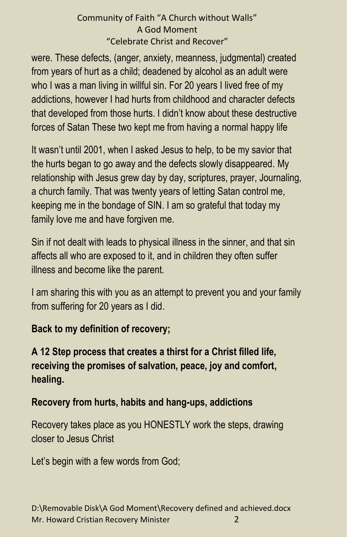were. These defects, (anger, anxiety, meanness, judgmental) created from years of hurt as a child; deadened by alcohol as an adult were who I was a man living in willful sin. For 20 years I lived free of my addictions, however I had hurts from childhood and character defects that developed from those hurts. I didn't know about these destructive forces of Satan These two kept me from having a normal happy life

It wasn't until 2001, when I asked Jesus to help, to be my savior that the hurts began to go away and the defects slowly disappeared. My relationship with Jesus grew day by day, scriptures, prayer, Journaling, a church family. That was twenty years of letting Satan control me, keeping me in the bondage of SIN. I am so grateful that today my family love me and have forgiven me.

Sin if not dealt with leads to physical illness in the sinner, and that sin affects all who are exposed to it, and in children they often suffer illness and become like the parent.

I am sharing this with you as an attempt to prevent you and your family from suffering for 20 years as I did.

## **Back to my definition of recovery;**

## **A 12 Step process that creates a thirst for a Christ filled life, receiving the promises of salvation, peace, joy and comfort, healing.**

## **Recovery from hurts, habits and hang-ups, addictions**

Recovery takes place as you HONESTLY work the steps, drawing closer to Jesus Christ

Let's begin with a few words from God;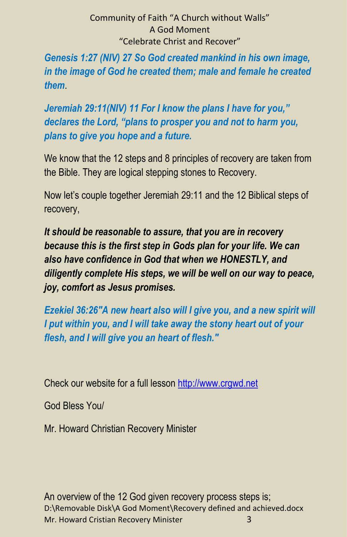*Genesis 1:27 (NIV) 27 So God created mankind in his own image, in the image of God he created them; male and female he created them*.

*Jeremiah 29:11(NIV) 11 For I know the plans I have for you," declares the Lord, "plans to prosper you and not to harm you, plans to give you hope and a future.*

We know that the 12 steps and 8 principles of recovery are taken from the Bible. They are logical stepping stones to Recovery.

Now let's couple together Jeremiah 29:11 and the 12 Biblical steps of recovery,

*It should be reasonable to assure, that you are in recovery because this is the first step in Gods plan for your life. We can also have confidence in God that when we HONESTLY, and diligently complete His steps, we will be well on our way to peace, joy, comfort as Jesus promises.*

*Ezekiel 36:26"A new heart also will I give you, and a new spirit will I put within you, and I will take away the stony heart out of your flesh, and I will give you an heart of flesh."*

Check our website for a full lesson [http://www.crgwd.net](http://www.crgwd.net/)

God Bless You/

Mr. Howard Christian Recovery Minister

D:\Removable Disk\A God Moment\Recovery defined and achieved.docx Mr. Howard Cristian Recovery Minister 3 An overview of the 12 God given recovery process steps is;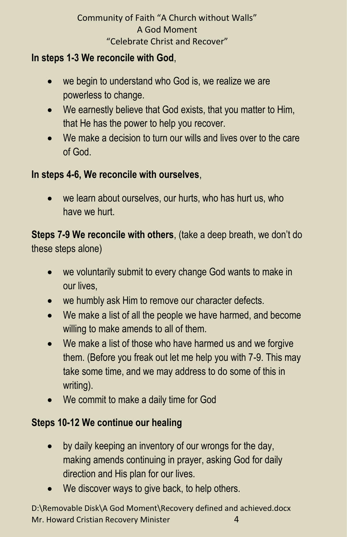## **In steps 1-3 We reconcile with God**,

- we begin to understand who God is, we realize we are powerless to change.
- We earnestly believe that God exists, that you matter to Him, that He has the power to help you recover.
- We make a decision to turn our wills and lives over to the care of God.

## **In steps 4-6, We reconcile with ourselves**,

we learn about ourselves, our hurts, who has hurt us, who have we hurt.

**Steps 7-9 We reconcile with others**, (take a deep breath, we don't do these steps alone)

- we voluntarily submit to every change God wants to make in our lives,
- we humbly ask Him to remove our character defects.
- We make a list of all the people we have harmed, and become willing to make amends to all of them.
- We make a list of those who have harmed us and we forgive them. (Before you freak out let me help you with 7-9. This may take some time, and we may address to do some of this in writing).
- We commit to make a daily time for God

## **Steps 10-12 We continue our healing**

- by daily keeping an inventory of our wrongs for the day, making amends continuing in prayer, asking God for daily direction and His plan for our lives.
- We discover ways to give back, to help others.

D:\Removable Disk\A God Moment\Recovery defined and achieved.docx Mr. Howard Cristian Recovery Minister 4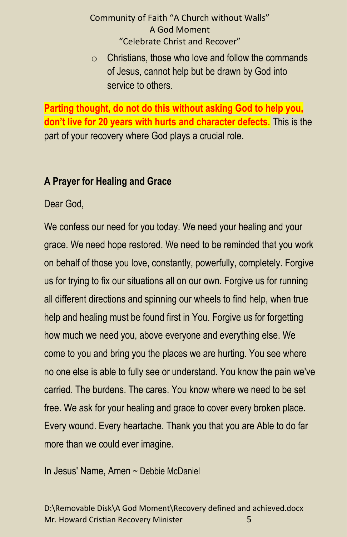$\circ$  Christians, those who love and follow the commands of Jesus, cannot help but be drawn by God into service to others.

**Parting thought, do not do this without asking God to help you, don't live for 20 years with hurts and character defects.** This is the part of your recovery where God plays a crucial role.

## **A Prayer for Healing and Grace**

Dear God,

We confess our need for you today. We need your healing and your grace. We need hope restored. We need to be reminded that you work on behalf of those you love, constantly, powerfully, completely. Forgive us for trying to fix our situations all on our own. Forgive us for running all different directions and spinning our wheels to find help, when true help and healing must be found first in You. Forgive us for forgetting how much we need you, above everyone and everything else. We come to you and bring you the places we are hurting. You see where no one else is able to fully see or understand. You know the pain we've carried. The burdens. The cares. You know where we need to be set free. We ask for your healing and grace to cover every broken place. Every wound. Every heartache. Thank you that you are Able to do far more than we could ever imagine.

In Jesus' Name, Amen ~ Debbie McDaniel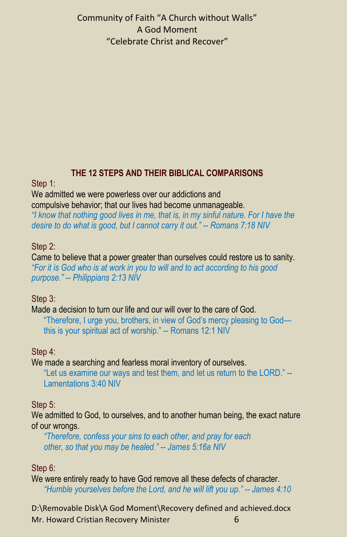### **THE 12 STEPS AND THEIR BIBLICAL COMPARISONS**

Step 1:

We admitted we were powerless over our addictions and compulsive behavior; that our lives had become unmanageable. *"I know that nothing good lives in me, that is, in my sinful nature. For I have the desire to do what is good, but I cannot carry it out." -- Romans 7:18 NIV*

## Step 2:

Came to believe that a power greater than ourselves could restore us to sanity. *"For it is God who is at work in you to will and to act according to his good purpose." -- Philippians 2:13 NIV*

### Step 3:

Made a decision to turn our life and our will over to the care of God. "Therefore, I urge you, brothers, in view of God's mercy pleasing to God this is your spiritual act of worship." -- Romans 12:1 NIV

### Step 4:

We made a searching and fearless moral inventory of ourselves.

"Let us examine our ways and test them, and let us return to the LORD." -- Lamentations 3:40 NIV

### Step 5:

We admitted to God, to ourselves, and to another human being, the exact nature of our wrongs.

*"Therefore, confess your sins to each other, and pray for each other, so that you may be healed." -- James 5:16a NIV*

## Step 6:

We were entirely ready to have God remove all these defects of character. *"Humble yourselves before the Lord, and he will lift you up." -- James 4:10* 

D:\Removable Disk\A God Moment\Recovery defined and achieved.docx Mr. Howard Cristian Recovery Minister 6